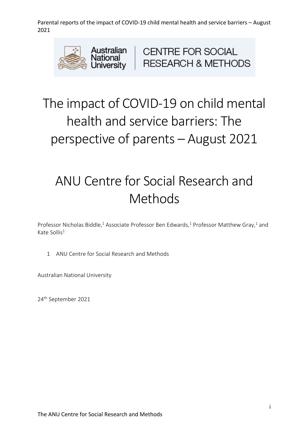

**CENTRE FOR SOCIAL RESEARCH & METHODS** 

# The impact of COVID-19 on child mental health and service barriers: The perspective of parents – August 2021

# ANU Centre for Social Research and **Methods**

Professor Nicholas Biddle,<sup>1</sup> Associate Professor Ben Edwards,<sup>1</sup> Professor Matthew Gray,<sup>1</sup> and Kate Sollis<sup>1</sup>

1 ANU Centre for Social Research and Methods

Australian National University

24th September 2021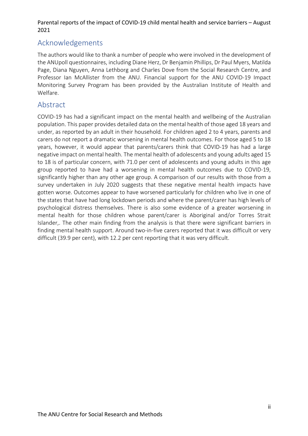# Acknowledgements

The authors would like to thank a number of people who were involved in the development of the ANUpoll questionnaires, including Diane Herz, Dr Benjamin Phillips, Dr Paul Myers, Matilda Page, Diana Nguyen, Anna Lethborg and Charles Dove from the Social Research Centre, and Professor Ian McAllister from the ANU. Financial support for the ANU COVID-19 Impact Monitoring Survey Program has been provided by the Australian Institute of Health and Welfare.

# Abstract

COVID-19 has had a significant impact on the mental health and wellbeing of the Australian population. This paper provides detailed data on the mental health of those aged 18 years and under, as reported by an adult in their household. For children aged 2 to 4 years, parents and carers do not report a dramatic worsening in mental health outcomes. For those aged 5 to 18 years, however, it would appear that parents/carers think that COVID-19 has had a large negative impact on mental health. The mental health of adolescents and young adults aged 15 to 18 is of particular concern, with 71.0 per cent of adolescents and young adults in this age group reported to have had a worsening in mental health outcomes due to COVID-19, significantly higher than any other age group. A comparison of our results with those from a survey undertaken in July 2020 suggests that these negative mental health impacts have gotten worse. Outcomes appear to have worsened particularly for children who live in one of the states that have had long lockdown periods and where the parent/carer has high levels of psychological distress themselves. There is also some evidence of a greater worsening in mental health for those children whose parent/carer is Aboriginal and/or Torres Strait Islander,. The other main finding from the analysis is that there were significant barriers in finding mental health support. Around two-in-five carers reported that it was difficult or very difficult (39.9 per cent), with 12.2 per cent reporting that it was very difficult.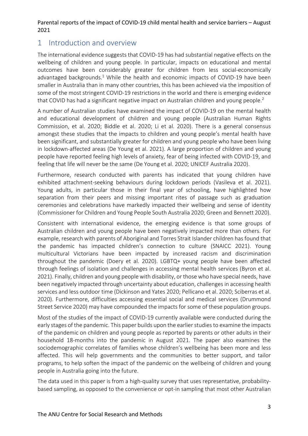# 1 Introduction and overview

The international evidence suggests that COVID-19 has had substantial negative effects on the wellbeing of children and young people. In particular, impacts on educational and mental outcomes have been considerably greater for children from less social-economically advantaged backgrounds.<sup>1</sup> While the health and economic impacts of COVID-19 have been smaller in Australia than in many other countries, this has been achieved via the imposition of some of the most stringent COVID-19 restrictions in the world and there is emerging evidence that COVID has had a significant negative impact on Australian children and young people.<sup>2</sup>

A number of Australian studies have examined the impact of COVID-19 on the mental health and educational development of children and young people (Australian Human Rights Commission, et al. 2020; Biddle et al. 2020; Li et al. 2020). There is a general consensus amongst these studies that the impacts to children and young people's mental health have been significant, and substantially greater for children and young people who have been living in lockdown-affected areas (De Young et al. 2021). A large proportion of children and young people have reported feeling high levels of anxiety, fear of being infected with COVID-19, and feeling that life will never be the same (De Young et al. 2020; UNICEF Australia 2020).

Furthermore, research conducted with parents has indicated that young children have exhibited attachment-seeking behaviours during lockdown periods (Vasileva et al. 2021). Young adults, in particular those in their final year of schooling, have highlighted how separation from their peers and missing important rites of passage such as graduation ceremonies and celebrations have markedly impacted their wellbeing and sense of identity (Commissioner for Children and Young People South Australia 2020; Green and Bennett 2020).

Consistent with international evidence, the emerging evidence is that some groups of Australian children and young people have been negatively impacted more than others. For example, research with parents of Aboriginal and Torres Strait Islander children has found that the pandemic has impacted children's connection to culture (SNAICC 2021). Young multicultural Victorians have been impacted by increased racism and discrimination throughout the pandemic (Doery et al. 2020). LGBTQ+ young people have been affected through feelings of isolation and challenges in accessing mental health services (Byron et al. 2021). Finally, children and young people with disability, or those who have special needs, have been negatively impacted through uncertainty about education, challenges in accessing health services and less outdoor time (Dickinson and Yates 2020; Pellicano et al. 2020; Sciberras et al. 2020). Furthermore, difficulties accessing essential social and medical services (Drummond Street Service 2020) may have compounded the impacts for some of these population groups.

Most of the studies of the impact of COVID-19 currently available were conducted during the early stages of the pandemic. This paper builds upon the earlier studies to examine the impacts of the pandemic on children and young people as reported by parents or other adults in their household 18-months into the pandemic in August 2021. The paper also examines the sociodemographic correlates of families whose children's wellbeing has been more and less affected. This will help governments and the communities to better support, and tailor programs, to help soften the impact of the pandemic on the wellbeing of children and young people in Australia going into the future.

The data used in this paper is from a high-quality survey that uses representative, probabilitybased sampling, as opposed to the convenience or opt-in sampling that most other Australian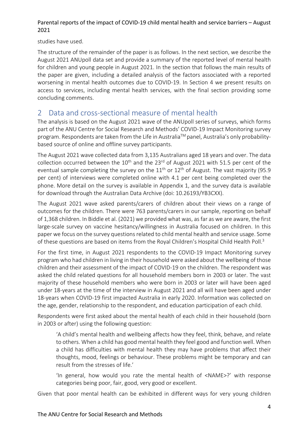studies have used.

The structure of the remainder of the paper is as follows. In the next section, we describe the August 2021 ANUpoll data set and provide a summary of the reported level of mental health for children and young people in August 2021. In the section that follows the main results of the paper are given, including a detailed analysis of the factors associated with a reported worsening in mental health outcomes due to COVID-19. In Section 4 we present results on access to services, including mental health services, with the final section providing some concluding comments.

# 2 Data and cross-sectional measure of mental health

The analysis is based on the August 2021 wave of the ANUpoll series of surveys, which forms part of the ANU Centre for Social Research and Methods' COVID-19 Impact Monitoring survey program. Respondents are taken from the Life in Australia™ panel, Australia's only probabilitybased source of online and offline survey participants.

The August 2021 wave collected data from 3,135 Australians aged 18 years and over. The data collection occurred between the  $10<sup>th</sup>$  and the 23<sup>rd</sup> of August 2021 with 51.5 per cent of the eventual sample completing the survey on the  $11<sup>th</sup>$  or  $12<sup>th</sup>$  of August. The vast majority (95.9) per cent) of interviews were completed online with 4.1 per cent being completed over the phone. More detail on the survey is available in Appendix 1, and the survey data is available for download through the Australian Data Archive (doi: 10.26193/YB3CXX).

The August 2021 wave asked parents/carers of children about their views on a range of outcomes for the children. There were 763 parents/carers in our sample, reporting on behalf of 1,368 children. In Biddle et al. (2021) we provided what was, as far as we are aware, the first large-scale survey on vaccine hesitancy/willingness in Australia focused on children. In this paper we focus on the survey questions related to child mental health and service usage. Some of these questions are based on items from the Royal Children's Hospital Child Health Poll.<sup>3</sup>

For the first time, in August 2021 respondents to the COVID-19 Impact Monitoring survey program who had children in living in their household were asked about the wellbeing of those children and their assessment of the impact of COVID-19 on the children. The respondent was asked the child related questions for all household members born in 2003 or later. The vast majority of these household members who were born in 2003 or later will have been aged under 18-years at the time of the interview in August 2021 and all will have been aged under 18-years when COVID-19 first impacted Australia in early 2020. Information was collected on the age, gender, relationship to the respondent, and education participation of each child.

Respondents were first asked about the mental health of each child in their household (born in 2003 or after) using the following question:

'A child's mental health and wellbeing affects how they feel, think, behave, and relate to others. When a child has good mental health they feel good and function well. When a child has difficulties with mental health they may have problems that affect their thoughts, mood, feelings or behaviour. These problems might be temporary and can result from the stresses of life.'

'In general, how would you rate the mental health of <NAME>?' with response categories being poor, fair, good, very good or excellent.

Given that poor mental health can be exhibited in different ways for very young children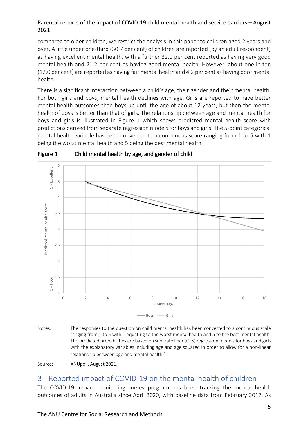compared to older children, we restrict the analysis in this paper to children aged 2 years and over. A little under one-third (30.7 per cent) of children are reported (by an adult respondent) as having excellent mental health, with a further 32.0 per cent reported as having very good mental health and 21.2 per cent as having good mental health. However, about one-in-ten (12.0 per cent) are reported as having fair mental health and 4.2 per cent as having poor mental health.

There is a significant interaction between a child's age, their gender and their mental health. For both girls and boys, mental health declines with age. Girls are reported to have better mental health outcomes than boys up until the age of about 12 years, but then the mental health of boys is better than that of girls. The relationship between age and mental health for boys and girls is illustrated in Figure 1 which shows predicted mental health score with predictions derived from separate regression models for boys and girls. The 5-point categorical mental health variable has been converted to a continuous score ranging from 1 to 5 with 1 being the worst mental health and 5 being the best mental health.





Notes: The responses to the question on child mental health has been converted to a continuous scale ranging from 1 to 5 with 1 equating to the worst mental health and 5 to the best mental health. The predicted probabilities are based on separate liner (OLS) regression models for boys and girls with the explanatory variables including age and age squared in order to allow for a non-linear relationship between age and mental health.<sup>4</sup>

Source: ANUpoll, August 2021.

# 3 Reported impact of COVID-19 on the mental health of children

The COVID-19 impact monitoring survey program has been tracking the mental health outcomes of adults in Australia since April 2020, with baseline data from February 2017. As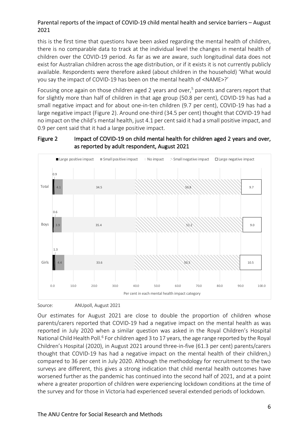this is the first time that questions have been asked regarding the mental health of children, there is no comparable data to track at the individual level the changes in mental health of children over the COVID-19 period. As far as we are aware, such longitudinal data does not exist for Australian children across the age distribution, or if it exists it is not currently publicly available. Respondents were therefore asked (about children in the household) 'What would you say the impact of COVID-19 has been on the mental health of <NAME>?'

Focusing once again on those children aged 2 years and over.<sup>5</sup> parents and carers report that for slightly more than half of children in that age group (50.8 per cent), COVID-19 has had a small negative impact and for about one-in-ten children (9.7 per cent), COVID-19 has had a large negative impact (Figure 2). Around one-third (34.5 per cent) thought that COVID-19 had no impact on the child's mental health, just 4.1 per cent said it had a small positive impact, and 0.9 per cent said that it had a large positive impact.





Source: ANUpoll, August 2021

Our estimates for August 2021 are close to double the proportion of children whose parents/carers reported that COVID-19 had a negative impact on the mental health as was reported in July 2020 when a similar question was asked in the Royal Children's Hospital National Child Health Poll.<sup>6</sup> For children aged 3 to 17 years, the age range reported by the Royal Children's Hospital (2020), in August 2021 around three-in-five (61.3 per cent) parents/carers thought that COVID-19 has had a negative impact on the mental health of their children,) compared to 36 per cent in July 2020. Although the methodology for recruitment to the two surveys are different, this gives a strong indication that child mental health outcomes have worsened further as the pandemic has continued into the second half of 2021, and at a point where a greater proportion of children were experiencing lockdown conditions at the time of the survey and for those in Victoria had experienced several extended periods of lockdown.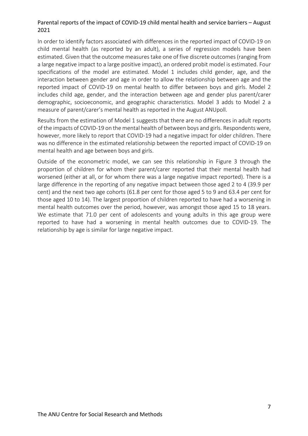In order to identify factors associated with differences in the reported impact of COVID-19 on child mental health (as reported by an adult), a series of regression models have been estimated. Given that the outcome measures take one of five discrete outcomes (ranging from a large negative impact to a large positive impact), an ordered probit model is estimated. Four specifications of the model are estimated. Model 1 includes child gender, age, and the interaction between gender and age in order to allow the relationship between age and the reported impact of COVID-19 on mental health to differ between boys and girls. Model 2 includes child age, gender, and the interaction between age and gender plus parent/carer demographic, socioeconomic, and geographic characteristics. Model 3 adds to Model 2 a measure of parent/carer's mental health as reported in the August ANUpoll.

Results from the estimation of Model 1 suggests that there are no differences in adult reports of the impacts of COVID-19 on the mental health of between boys and girls. Respondents were, however, more likely to report that COVID-19 had a negative impact for older children. There was no difference in the estimated relationship between the reported impact of COVID-19 on mental health and age between boys and girls.

Outside of the econometric model, we can see this relationship in Figure 3 through the proportion of children for whom their parent/carer reported that their mental health had worsened (either at all, or for whom there was a large negative impact reported). There is a large difference in the reporting of any negative impact between those aged 2 to 4 (39.9 per cent) and the next two age cohorts (61.8 per cent for those aged 5 to 9 and 63.4 per cent for those aged 10 to 14). The largest proportion of children reported to have had a worsening in mental health outcomes over the period, however, was amongst those aged 15 to 18 years. We estimate that 71.0 per cent of adolescents and young adults in this age group were reported to have had a worsening in mental health outcomes due to COVID-19. The relationship by age is similar for large negative impact.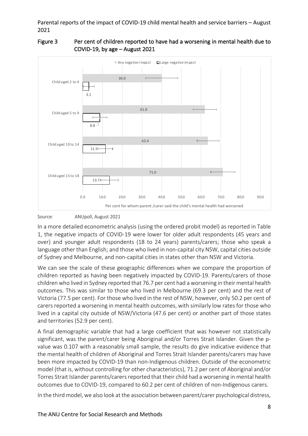

# Figure 3 Per cent of children reported to have had a worsening in mental health due to COVID-19, by age – August 2021

Source: ANUpoll, August 2021

In a more detailed econometric analysis (using the ordered probit model) as reported in Table 1, the negative impacts of COVID-19 were lower for older adult respondents (45 years and over) and younger adult respondents (18 to 24 years) parents/carers; those who speak a language other than English; and those who lived in non-capital city NSW, capital cities outside of Sydney and Melbourne, and non-capital cities in states other than NSW and Victoria.

We can see the scale of these geographic differences when we compare the proportion of children reported as having been negatively impacted by COVID-19. Parents/carers of those children who lived in Sydney reported that 76.7 per cent had a worsening in their mental health outcomes. This was similar to those who lived in Melbourne (69.3 per cent) and the rest of Victoria (77.5 per cent). For those who lived in the rest of NSW, however, only 50.2 per cent of carers reported a worsening in mental health outcomes, with similarly low rates for those who lived in a capital city outside of NSW/Victoria (47.6 per cent) or another part of those states and territories (52.9 per cent).

A final demographic variable that had a large coefficient that was however not statistically significant, was the parent/carer being Aboriginal and/or Torres Strait Islander. Given the pvalue was 0.107 with a reasonably small sample, the results do give indicative evidence that the mental health of children of Aboriginal and Torres Strait Islander parents/carers may have been more impacted by COVID-19 than non-Indigenous children. Outside of the econometric model (that is, without controlling for other characteristics), 71.2 per cent of Aboriginal and/or Torres Strait Islander parents/carers reported that their child had a worsening in mental health outcomes due to COVID-19, compared to 60.2 per cent of children of non-Indigenous carers.

In the third model, we also look at the association between parent/carer psychological distress,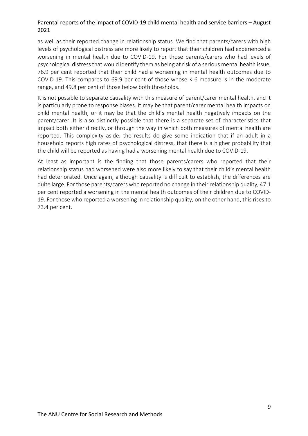as well as their reported change in relationship status. We find that parents/carers with high levels of psychological distress are more likely to report that their children had experienced a worsening in mental health due to COVID-19. For those parents/carers who had levels of psychological distress that would identify them as being at risk of a serious mental health issue, 76.9 per cent reported that their child had a worsening in mental health outcomes due to COVID-19. This compares to 69.9 per cent of those whose K-6 measure is in the moderate range, and 49.8 per cent of those below both thresholds.

It is not possible to separate causality with this measure of parent/carer mental health, and it is particularly prone to response biases. It may be that parent/carer mental health impacts on child mental health, or it may be that the child's mental health negatively impacts on the parent/carer. It is also distinctly possible that there is a separate set of characteristics that impact both either directly, or through the way in which both measures of mental health are reported. This complexity aside, the results do give some indication that if an adult in a household reports high rates of psychological distress, that there is a higher probability that the child will be reported as having had a worsening mental health due to COVID-19.

At least as important is the finding that those parents/carers who reported that their relationship status had worsened were also more likely to say that their child's mental health had deteriorated. Once again, although causality is difficult to establish, the differences are quite large. For those parents/carers who reported no change in their relationship quality, 47.1 per cent reported a worsening in the mental health outcomes of their children due to COVID-19. For those who reported a worsening in relationship quality, on the other hand, this rises to 73.4 per cent.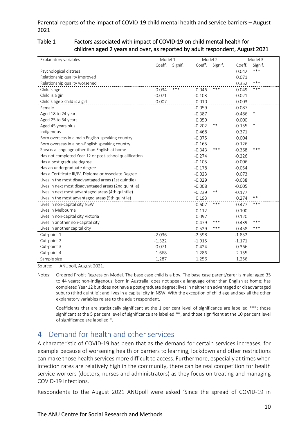#### Table 1 Factors associated with impact of COVID-19 on child mental health for children aged 2 years and over, as reported by adult respondent, August 2021

| Explanatory variables                                  | Model 1  |         | Model 2  |         | Model 3  |         |
|--------------------------------------------------------|----------|---------|----------|---------|----------|---------|
|                                                        | Coeff.   | Signif. | Coeff.   | Signif. | Coeff.   | Signif. |
| Psychological distress                                 |          |         |          |         | 0.042    | $***$   |
| Relationship quality improved                          |          |         |          |         | 0.071    |         |
| Relationship quality worsened                          |          |         |          |         | 0.352    | ***     |
| Child's age                                            | 0.034    | ***     | 0.046    | ***     | 0.049    | ***     |
| Child is a girl                                        | $-0.071$ |         | $-0.103$ |         | $-0.021$ |         |
| Child's age x child is a girl                          | 0.007    |         | 0.010    |         | 0.003    |         |
| Female                                                 |          |         | $-0.059$ |         | $-0.087$ |         |
| Aged 18 to 24 years                                    |          |         | $-0.387$ |         | $-0.486$ | *       |
| Aged 25 to 34 years                                    |          |         | 0.059    |         | 0.000    |         |
| Aged 45 years plus                                     |          |         | $-0.202$ | **      | $-0.155$ | ∗       |
| Indigenous                                             |          |         | 0.468    |         | 0.371    |         |
| Born overseas in a main English-speaking country       |          |         | $-0.075$ |         | 0.004    |         |
| Born overseas in a non-English speaking country        |          |         | $-0.165$ |         | $-0.126$ |         |
| Speaks a language other than English at home           |          |         | $-0.343$ | ***     | $-0.368$ | ***     |
| Has not completed Year 12 or post-school qualification |          |         | $-0.274$ |         | $-0.226$ |         |
| Has a post graduate degree                             |          |         | $-0.105$ |         | $-0.006$ |         |
| Has an undergraduate degree                            |          |         | $-0.178$ |         | $-0.054$ |         |
| Has a Certificate III/IV, Diploma or Associate Degree  |          |         | $-0.023$ |         | 0.073    |         |
| Lives in the most disadvantaged areas (1st quintile)   |          |         | $-0.029$ |         | $-0.038$ |         |
| Lives in next most disadvantaged areas (2nd quintile)  |          |         | $-0.008$ |         | $-0.005$ |         |
| Lives in next most advantaged areas (4th quintile)     |          |         | $-0.239$ | $***$   | $-0.177$ |         |
| Lives in the most advantaged areas (5th quintile)      |          |         | 0.193    |         | 0.274    | **      |
| Lives in non-capital city NSW                          |          |         | $-0.607$ | ***     | $-0.477$ | ***     |
| Lives in Melbourne                                     |          |         | $-0.112$ |         | $-0.100$ |         |
| Lives in non-capital city Victoria                     |          |         | 0.097    |         | 0.120    |         |
| Lives in another non-capital city                      |          |         | $-0.479$ | ***     | $-0.439$ | ***     |
| Lives in another capital city                          |          |         | $-0.529$ | ***     | $-0.458$ | ***     |
| Cut-point 1                                            | $-2.036$ |         | $-2.598$ |         | $-1.852$ |         |
| Cut-point 2                                            | $-1.322$ |         | $-1.915$ |         | $-1.171$ |         |
| Cut-point 3                                            | 0.071    |         | $-0.424$ |         | 0.366    |         |
| Cut-point 4                                            | 1.668    |         | 1.286    |         | 2.155    |         |
| Sample size                                            | 1,287    |         | 1,256    |         | 1,256    |         |

Source: ANUpoll, August 2021.

Coefficients that are statistically significant at the 1 per cent level of significance are labelled \*\*\*; those significant at the 5 per cent level of significance are labelled \*\*, and those significant at the 10 per cent level of significance are labelled \*.

# 4 Demand for health and other services

A characteristic of COVID-19 has been that as the demand for certain services increases, for example because of worsening health or barriers to learning, lockdown and other restrictions can make those health services more difficult to access. Furthermore, especially at times when infection rates are relatively high in the community, there can be real competition for health service workers (doctors, nurses and administrators) as they focus on treating and managing COVID-19 infections.

Respondents to the August 2021 ANUpoll were asked 'Since the spread of COVID-19 in

Notes: Ordered Probit Regression Model. The base case child is a boy. The base case parent/carer is male; aged 35 to 44 years; non-Indigenous; born in Australia; does not speak a language other than English at home; has completed Year 12 but does not have a post-graduate degree; lives in neither an advantaged or disadvantaged suburb (third quintile); and lives in a capital city in NSW. With the exception of child age and sex all the other explanatory variables relate to the adult respondent.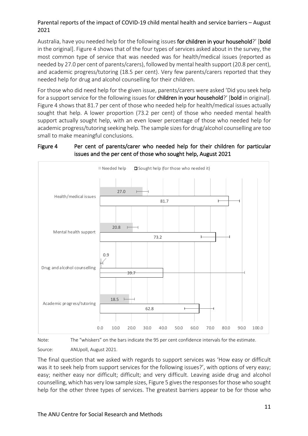Australia, have you needed help for the following issues for children in your household?' [bold in the original]. Figure 4 shows that of the four types of services asked about in the survey, the most common type of service that was needed was for health/medical issues (reported as needed by 27.0 per cent of parents/carers), followed by mental health support (20.8 per cent), and academic progress/tutoring (18.5 per cent). Very few parents/carers reported that they needed help for drug and alcohol counselling for their children.

For those who did need help for the given issue, parents/carers were asked 'Did you seek help for a support service for the following issues for children in your household?' [bold in original]. Figure 4 shows that 81.7 per cent of those who needed help for health/medical issues actually sought that help. A lower proportion (73.2 per cent) of those who needed mental health support actually sought help, with an even lower percentage of those who needed help for academic progress/tutoring seeking help. The sample sizes for drug/alcohol counselling are too small to make meaningful conclusions.





Note: The "whiskers" on the bars indicate the 95 per cent confidence intervals for the estimate.

Source: ANUpoll, August 2021.

The final question that we asked with regards to support services was 'How easy or difficult was it to seek help from support services for the following issues?', with options of very easy; easy; neither easy nor difficult; difficult; and very difficult. Leaving aside drug and alcohol counselling, which has very low sample sizes, Figure 5 gives the responses for those who sought help for the other three types of services. The greatest barriers appear to be for those who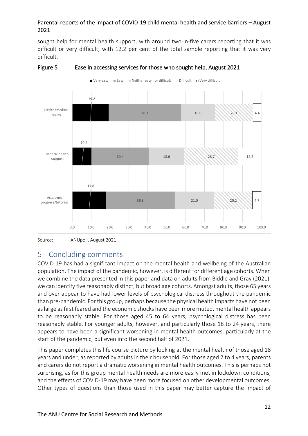sought help for mental health support, with around two-in-five carers reporting that it was difficult or very difficult, with 12.2 per cent of the total sample reporting that it was very difficult.





# 5 Concluding comments

COVID-19 has had a significant impact on the mental health and wellbeing of the Australian population. The impact of the pandemic, however, is different for different age cohorts. When we combine the data presented in this paper and data on adults from Biddle and Gray (2021), we can identify five reasonably distinct, but broad age cohorts. Amongst adults, those 65 years and over appear to have had lower levels of psychological distress throughout the pandemic than pre-pandemic. For this group, perhaps because the physical health impacts have not been as large as first feared and the economic shocks have been more muted, mental health appears to be reasonably stable. For those aged 45 to 64 years, psychological distress has been reasonably stable. For younger adults, however, and particularly those 18 to 24 years, there appears to have been a significant worsening in mental health outcomes, particularly at the start of the pandemic, but even into the second half of 2021.

This paper completes this life course picture by looking at the mental health of those aged 18 years and under, as reported by adults in their household. For those aged 2 to 4 years, parents and carers do not report a dramatic worsening in mental health outcomes. This is perhaps not surprising, as for this group mental health needs are more easily met in lockdown conditions, and the effects of COVID-19 may have been more focused on other developmental outcomes. Other types of questions than those used in this paper may better capture the impact of

Source: ANUpoll, August 2021.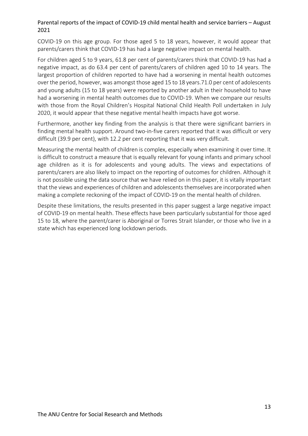COVID-19 on this age group. For those aged 5 to 18 years, however, it would appear that parents/carers think that COVID-19 has had a large negative impact on mental health.

For children aged 5 to 9 years, 61.8 per cent of parents/carers think that COVID-19 has had a negative impact, as do 63.4 per cent of parents/carers of children aged 10 to 14 years. The largest proportion of children reported to have had a worsening in mental health outcomes over the period, however, was amongst those aged 15 to 18 years.71.0 per cent of adolescents and young adults (15 to 18 years) were reported by another adult in their household to have had a worsening in mental health outcomes due to COVID-19. When we compare our results with those from the Royal Children's Hospital National Child Health Poll undertaken in July 2020, it would appear that these negative mental health impacts have got worse.

Furthermore, another key finding from the analysis is that there were significant barriers in finding mental health support. Around two-in-five carers reported that it was difficult or very difficult (39.9 per cent), with 12.2 per cent reporting that it was very difficult.

Measuring the mental health of children is complex, especially when examining it over time. It is difficult to construct a measure that is equally relevant for young infants and primary school age children as it is for adolescents and young adults. The views and expectations of parents/carers are also likely to impact on the reporting of outcomes for children. Although it is not possible using the data source that we have relied on in this paper, it is vitally important that the views and experiences of children and adolescents themselves are incorporated when making a complete reckoning of the impact of COVID-19 on the mental health of children.

Despite these limitations, the results presented in this paper suggest a large negative impact of COVID-19 on mental health. These effects have been particularly substantial for those aged 15 to 18, where the parent/carer is Aboriginal or Torres Strait Islander, or those who live in a state which has experienced long lockdown periods.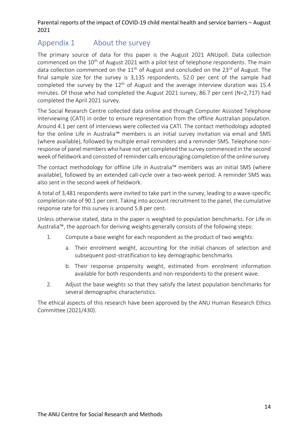# Appendix 1 About the survey

The primary source of data for this paper is the August 2021 ANUpoll. Data collection commenced on the  $10<sup>th</sup>$  of August 2021 with a pilot test of telephone respondents. The main data collection commenced on the  $11<sup>th</sup>$  of August and concluded on the 23<sup>rd</sup> of August. The final sample size for the survey is 3,135 respondents. 52.0 per cent of the sample had completed the survey by the  $12<sup>th</sup>$  of August and the average interview duration was 15.4 minutes. Of those who had completed the August 2021 survey, 86.7 per cent (N=2,717) had completed the April 2021 survey.

The Social Research Centre collected data online and through Computer Assisted Telephone Interviewing (CATI) in order to ensure representation from the offline Australian population. Around 4.1 per cent of interviews were collected via CATI. The contact methodology adopted for the online Life in Australia™ members is an initial survey invitation via email and SMS (where available), followed by multiple email reminders and a reminder SMS. Telephone nonresponse of panel members who have not yet completed the survey commenced in the second week of fieldwork and consisted of reminder calls encouraging completion of the online survey.

The contact methodology for offline Life in Australia™ members was an initial SMS (where available), followed by an extended call-cycle over a two-week period. A reminder SMS was also sent in the second week of fieldwork.

A total of 3,481 respondents were invited to take part in the survey, leading to a wave-specific completion rate of 90.1 per cent. Taking into account recruitment to the panel, the cumulative response rate for this survey is around 5.8 per cent.

Unless otherwise stated, data in the paper is weighted to population benchmarks. For Life in Australia™, the approach for deriving weights generally consists of the following steps:

- 1. Compute a base weight for each respondent as the product of two weights:
	- a. Their enrolment weight, accounting for the initial chances of selection and subsequent post-stratification to key demographic benchmarks
	- b. Their response propensity weight, estimated from enrolment information available for both respondents and non-respondents to the present wave.
- 2. Adjust the base weights so that they satisfy the latest population benchmarks for several demographic characteristics.

The ethical aspects of this research have been approved by the ANU Human Research Ethics Committee (2021/430).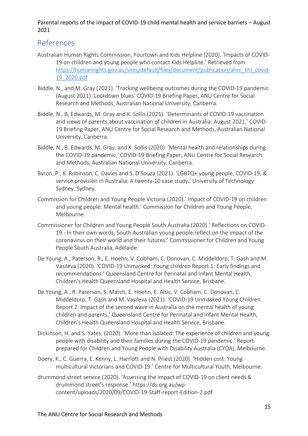# References

- Australian Human Rights Commission, Yourtown and Kids Helpline (2020). 'Impacts of COVID-19 on children and young people who contact Kids Helpline.' Retrieved from https://humanrights.gov.au/sites/default/files/document/publication/ahrc\_khl\_covid-19\_2020.pdf
- Biddle, N., and M. Gray (2021). 'Tracking wellbeing outcomes during the COVID-19 pandemic (August 2021): Lockdown blues' COVID-19 Briefing Paper, ANU Centre for Social Research and Methods, Australian National University, Canberra.
- Biddle, N., B, Edwards, M. Gray and K. Sollis (2021). 'Determinants of COVID-19 vaccination and views of parents about vaccination of children in Australia: August 2021.' COVID-19 Briefing Paper, ANU Centre for Social Research and Methods, Australian National University, Canberra.
- Biddle, N., B. Edwards, M. Gray, and K. Sollis (2020). 'Mental health and relationships during the COVID-19 pandemic.' COVID-19 Briefing Paper, ANU Centre for Social Research and Methods, Australian National University, Canberra.
- Byron, P., K. Robinson, C. Davies and S. D'Souza (2021). 'LGBTQ+ young people, COVID-19, & service provision in Australia: A twenty-10 case study.' University of Technology Sydney, Sydney.
- Commission for Children and Young People Victoria (2020).' Impact of COVID-19 on children and young people: Mental health.' Commission for Children and Young People, Melbourne.
- Commissioner for Children and Young People South Australia (2020).' Reflections on COVID-19 - In their own words, South Australian young people reflect on the impact of the coronavirus on their world and their futures.' Commissioner for Children and Young People South Australia, Adelaide.
- De Young, A., Paterson, R., E. Hoehn, V. Cobham, C. Donovan, C. Middeldorp, T. Gash and M. Vasileva (2020). 'COVID-19 Unmasked: Young children Report 1: Early findings and recommendations.' Queensland Centre for Perinatal and Infant Mental Health, Children's Health Queensland Hospital and Health Service, Brisbane.
- De Young, A., R. Paterson, S. March, E. Hoehn, E. Alsic, V. Cobham, C. Donovan, C. Middeldorp, T. Gash and M. Vasileva (2021). 'COVID-19 Unmasked Young Children Report 2: Impact of the second wave in Australia on the mental health of young children and parents.' Queensland Centre for Perinatal and Infant Mental Health, Children's Health Queensland Hospital and Health Service, Brisbane.
- Dickinson, H. and S. Yates. (2020). 'More than isolated: The experience of children and young people with disability and their families during the COVID-19 pandemic.' Report prepared for Children and Young People with Disability Australia (CYDA), Melbourne.
- Doery, K., C. Guerra, E. Kenny, L. Harrlott and N. Priest (2020). 'Hidden cost: Young multicultural Victorians and COVID-19.' Centre for Multicultural Youth, Melbourne.
- drummond street service (2020). 'Assessing the impact of COVID-19 on client needs & drummond street's response.' https://ds.org.au/wpcontent/uploads/2020/09/COVID-19-Staff-report-Edition-2.pdf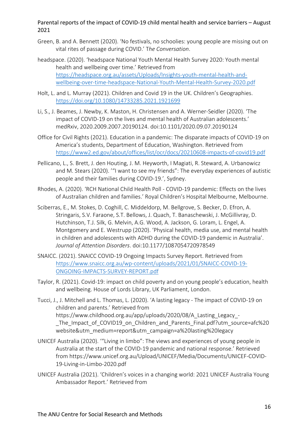- Green, B. and A. Bennett (2020). 'No festivals, no schoolies: young people are missing out on vital rites of passage during COVID.' T*he Conversation*.
- headspace. (2020). 'headspace National Youth Mental Health Survey 2020: Youth mental health and wellbeing over time.' Retrieved from https://headspace.org.au/assets/Uploads/Insights-youth-mental-health-andwellbeing-over-time-headspace-National-Youth-Mental-Health-Survey-2020.pdf
- Holt, L. and L. Murray (2021). Children and Covid 19 in the UK. Children's Geographies. https://doi.org/10.1080/14733285.2021.1921699
- Li, S., J. Beames, J. Newby, K. Maston, H. Christensen and A. Werner-Seidler (2020). 'The impact of COVID-19 on the lives and mental health of Australian adolescents.' medRxiv, 2020.2009.2007.20190124. doi:10.1101/2020.09.07.20190124
- Office for Civil Rights (2021). Education in a pandemic: The disparate impacts of COVID-19 on America's students, Department of Education, Washington. Retrieved from https://www2.ed.gov/about/offices/list/ocr/docs/20210608-impacts-of-covid19.pdf
- Pellicano, L., S. Brett, J. den Houting, J. M. Heyworth, I Magiati, R. Steward, A. Urbanowicz and M. Stears (2020). '"I want to see my friends": The everyday experiences of autistic people and their families during COVID-19.', Sydney.
- Rhodes, A. (2020). 'RCH National Child Health Poll COVID-19 pandemic: Effects on the lives of Australian children and families.' Royal Children's Hospital Melbourne, Melbourne.
- Sciberras, E., M. Stokes, D. Coghill, C. Middeldorp, M. Bellgrove, S. Becker, D. Efron, A. Stringaris, S.V. Faraone, S.T. Bellows, J. Quach, T. Banaschewski, J. McGillivray, D. Hutchinson, T.J. Silk, G. Melvin, A.G. Wood, A. Jackson, G. Loram, L. Engel, A. Montgomery and E. Westrupp (2020). 'Physical health, media use, and mental health in children and adolescents with ADHD during the COVID-19 pandemic in Australia'. *Journal of Attention Disorders*. doi:10.1177/1087054720978549
- SNAICC. (2021). SNAICC COVID-19 Ongoing Impacts Survey Report. Retrieved from https://www.snaicc.org.au/wp-content/uploads/2021/01/SNAICC-COVID-19- ONGOING-IMPACTS-SURVEY-REPORT.pdf
- Taylor, R. (2021). Covid-19: impact on child poverty and on young people's education, health and wellbeing. House of Lords Library, UK Parliament, London.
- Tucci, J., J. Mitchell and L. Thomas, L. (2020). 'A lasting legacy The impact of COVID-19 on children and parents.' Retrieved from https://www.childhood.org.au/app/uploads/2020/08/A\_Lasting\_Legacy\_- The Impact of COVID19 on Children and Parents Final.pdf?utm\_source=afc%20 website&utm\_medium=report&utm\_campaign=a%20lasting%20legacy
- UNICEF Australia (2020). '"Living in limbo": The views and experiences of young people in Australia at the start of the COVID-19 pandemic and national response.' Retrieved from https://www.unicef.org.au/Upload/UNICEF/Media/Documents/UNICEF-COVID-19-Living-in-Limbo-2020.pdf
- UNICEF Australia (2021). 'Children's voices in a changing world: 2021 UNICEF Australia Young Ambassador Report.' Retrieved from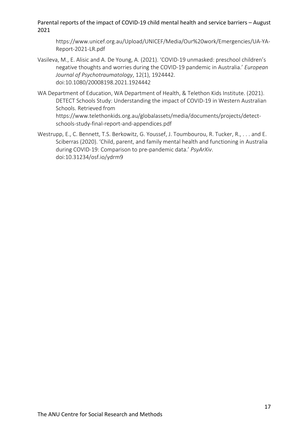https://www.unicef.org.au/Upload/UNICEF/Media/Our%20work/Emergencies/UA-YA-Report-2021-LR.pdf

- Vasileva, M., E. Alisic and A. De Young, A. (2021). 'COVID-19 unmasked: preschool children's negative thoughts and worries during the COVID-19 pandemic in Australia.' *European Journal of Psychotraumatology*, 12(1), 1924442. doi:10.1080/20008198.2021.1924442
- WA Department of Education, WA Department of Health, & Telethon Kids Institute. (2021). DETECT Schools Study: Understanding the impact of COVID-19 in Western Australian Schools. Retrieved from https://www.telethonkids.org.au/globalassets/media/documents/projects/detectschools-study-final-report-and-appendices.pdf
- Westrupp, E., C. Bennett, T.S. Berkowitz, G. Youssef, J. Toumbourou, R. Tucker, R., . . . and E. Sciberras (2020). 'Child, parent, and family mental health and functioning in Australia during COVID-19: Comparison to pre-pandemic data.' *PsyArXiv*. doi:10.31234/osf.io/ydrm9